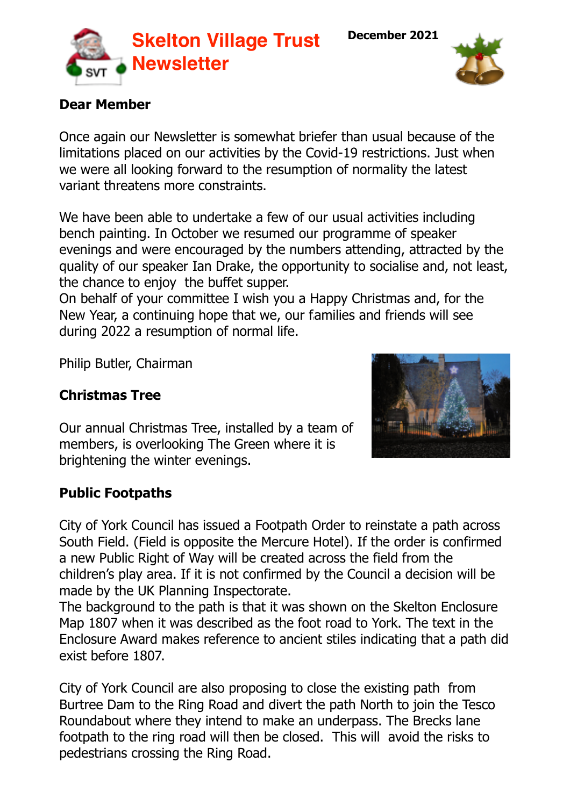**December 2021**



#### **Dear Member**

Once again our Newsletter is somewhat briefer than usual because of the limitations placed on our activities by the Covid-19 restrictions. Just when we were all looking forward to the resumption of normality the latest variant threatens more constraints.

We have been able to undertake a few of our usual activities including bench painting. In October we resumed our programme of speaker evenings and were encouraged by the numbers attending, attracted by the quality of our speaker Ian Drake, the opportunity to socialise and, not least, the chance to enjoy the buffet supper.

On behalf of your committee I wish you a Happy Christmas and, for the New Year, a continuing hope that we, our families and friends will see during 2022 a resumption of normal life.

Philip Butler, Chairman

## **Christmas Tree**

Our annual Christmas Tree, installed by a team of members, is overlooking The Green where it is brightening the winter evenings.

# **Public Footpaths**

City of York Council has issued a Footpath Order to reinstate a path across South Field. (Field is opposite the Mercure Hotel). If the order is confirmed a new Public Right of Way will be created across the field from the children's play area. If it is not confirmed by the Council a decision will be made by the UK Planning Inspectorate.

The background to the path is that it was shown on the Skelton Enclosure Map 1807 when it was described as the foot road to York. The text in the Enclosure Award makes reference to ancient stiles indicating that a path did exist before 1807.

City of York Council are also proposing to close the existing path from Burtree Dam to the Ring Road and divert the path North to join the Tesco Roundabout where they intend to make an underpass. The Brecks lane footpath to the ring road will then be closed. This will avoid the risks to pedestrians crossing the Ring Road.